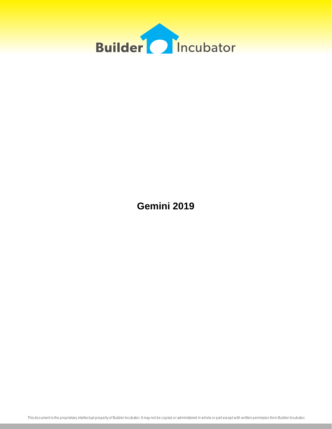

**Gemini 2019**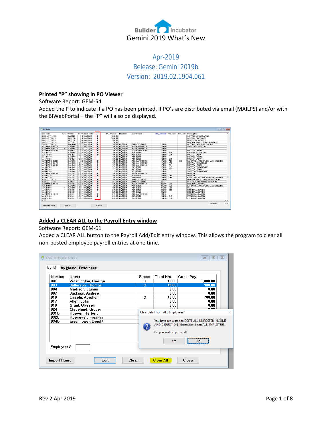

## Apr-2019 Release: Gemini 2019b Version: 2019.02.1904.061

## **Printed "P" showing in PO Viewer**

## Software Report: GEM-54

Added the P to indicate if a PO has been printed. If PO's are distributed via email (MAILPS) and/or with the BIWebPortal – the "P" will also be displayed.

| $S$ 06/30/14<br>P<br>SUB-LOT-44100<br>LAST01<br>1,800.00<br><b>INSTALL LANDSCAPING</b><br>P<br>SUB-LOT-52110<br><b>HEATGL</b><br>S 06/30/14<br>2,600.00<br><b>INSTALL FIREPLACE</b><br>P<br>$S$ 06/30/14<br><b>HEATGL</b><br>920.00<br>SUB-LOT-521101<br><b>FIREPLACE MANTLE</b><br>P<br>S 06/30/14<br>150.00<br>SUB-LOT-521102<br>SECU01<br>LOW VOLTAGE - TRIM - DRAW #2<br>P<br>85.00 06/30/14<br>DAND01<br>C F 06/30/14<br>SUB-LOT-24110<br>85.00<br>SUB-LOT-24110<br><b>INSTALL EXTERIOR DOORS</b><br>P<br>C F 06/30/14<br>SAND01<br>100.00 06/30/14+<br>A22-MANU-06110<br>100.00<br>SURVEY-STAKE OUT<br>P<br>SAND01<br>C F 11/13/17<br>30.00 06/30/14+<br>100.00<br>$\mathbf{2}$<br>A22-MANU-06110<br>P<br>CORK01<br>$C$ F<br>06/30/14<br>100.00 06/30/14<br>100.00<br>A22-MANU-16100<br><b>FOOTER LABOR</b><br>P<br>$C$ $F$<br>06/30/14<br>100.00<br><b>B40</b><br>SAND01<br>100.00 06/30/14<br>A25-06110<br>SURVEY-STAKE OUT<br>P<br>G20<br>C F 06/30/14<br>100.00 06/30/14<br>A25-16100<br>100.00<br>CORK01<br><b>FOOTER LABOR</b><br>06/30/14<br>125.00 06/30/14<br>100.00<br>SAND01<br>A55-06140<br>SURVEY - FINAL<br>C F 06/30/14<br>G20<br>CORK01<br>100.00 06/30/14<br>A55-16100<br>100.00<br><b>FOOTER LABOR</b><br>P<br>$S$ 06/30/14<br>A25<br><b>EARLY RELEASE PURCHASE ORDERS</b><br>SAND01<br>125.00 06/30/14<br>A22-MANU-06090<br>125.00<br><b>BC</b><br>$\overline{P}$<br>SAND01<br>C F 06/30/14<br>A12<br>125.00 06/30/14<br>A22-MANU-06120<br>125.00<br>SURVEY-FORMBOAD<br>P<br>C F<br><b>B94</b><br>SAND01<br>06/30/14<br>125.00 06/30/14<br>A22-MANU-06140<br>125.00<br>SURVEY - FINAL<br>P<br><b>B45</b><br>$C$ F<br>SAND01<br>06/30/14<br>125.00 06/30/14<br>A25-06120<br>125.00<br>SURVEY-FORMBOARD<br>P<br><b>B55</b><br>SAND <sub>01</sub><br>C F<br>06/30/14<br>125.00 06/30/14<br>A25-06140<br>125.00<br>SURVEY - FINAL<br>C F 06/30/14<br>SAND01<br>125.00 06/30/14<br>A55-06120<br>125.00<br>SURVEY-FORMBOARD<br>P<br>C S 06/30/14<br>A22-MANU-08130<br>SIDS01<br>150.00 06/30/14<br>150.00<br>LOT FILL<br>P<br>C F 06/30/14<br>150.00 06/30/14<br>C60<br>SIDS01<br>A25-08130<br>150.00<br>LOT FILL<br>C60<br>SIDS01<br>C F 06/30/14<br>150.00 06/30/14<br>A55-08130<br>150.00<br><b>EARLY RELEASE PURCHASE ORDERS</b><br>P<br>SECU01<br>$C$ $F$<br>06/30/14<br>SUB-LOT-28310<br>150.00 06/30/14<br>150.00<br>LOW VOLTAGE - ROUGH - DRAW #1<br>P<br>CATE01<br>C F 06/30/14<br>201.31 06/30/14<br>SUB-LOT-31100<br>201.31<br>INTERIOR CLEANING - DRAW #1<br>P<br><b>B30</b><br>SIDS01<br>C S 06/30/14<br>225.00 06/30/14<br>225.00<br>A22-MANU-08170<br>SITE-FINAL GRADE<br>$\overline{P}$<br><b>B30</b><br>SAND01<br>C F 06/30/14<br>125.00 06/30/14<br>A25-06090<br>225.00<br><b>EARLY RELEASE PURCHASE ORDERS</b><br>P<br><b>B30</b><br>A25-06090<br>SAND01<br>C F<br>08/01/17<br>100.00 06/30/14<br>225.00<br>Desc.<br>P<br>C F 06/30/14<br>C80<br>SITE-FINAL GRADE<br>225.00 06/30/14<br>A25-08170<br>225.00<br>SIDS01<br>06/30/14<br>SIDS01<br>C F<br>225.00 06/30/14<br>A55-08170<br>225.00<br>SITE-FINAL GRADE<br>P<br>C F 06/30/14<br>A22-MANU-18120<br>249.38<br><b>BUIL01</b><br>249.38 06/30/14<br><b>STEMWALL LABOR</b><br>G45<br><b>BUIL01</b><br>06/30/14<br>P<br>249.38 06/30/14<br>A25-18120<br>249.38<br>$C$ $F$<br><b>STEMWALL LABOR</b><br>C F 06/30/14<br>G45<br><b>BUIL01</b><br>249.38 06/30/14<br>A55-18120<br>249.38<br>STEMWALL LABOR | Doc Num | Adn Vendor | S V Doc Date | P | PO Amount | <b>Rcy Date</b> | <b>Rcy Invoice</b> | <b>Rcv Amount</b> Pay Code Ref Code Description |  |                 |
|-------------------------------------------------------------------------------------------------------------------------------------------------------------------------------------------------------------------------------------------------------------------------------------------------------------------------------------------------------------------------------------------------------------------------------------------------------------------------------------------------------------------------------------------------------------------------------------------------------------------------------------------------------------------------------------------------------------------------------------------------------------------------------------------------------------------------------------------------------------------------------------------------------------------------------------------------------------------------------------------------------------------------------------------------------------------------------------------------------------------------------------------------------------------------------------------------------------------------------------------------------------------------------------------------------------------------------------------------------------------------------------------------------------------------------------------------------------------------------------------------------------------------------------------------------------------------------------------------------------------------------------------------------------------------------------------------------------------------------------------------------------------------------------------------------------------------------------------------------------------------------------------------------------------------------------------------------------------------------------------------------------------------------------------------------------------------------------------------------------------------------------------------------------------------------------------------------------------------------------------------------------------------------------------------------------------------------------------------------------------------------------------------------------------------------------------------------------------------------------------------------------------------------------------------------------------------------------------------------------------------------------------------------------------------------------------------------------------------------------------------------------------------------------------------------------------------------------------------------------------------------------------------------------------------------------------------------------------------------------------------------------------------------------------------------------------------------------------------------------------------------------------------------------------------------------------------------------------------------------------------------------------------------------------------------------------------------------------------------------------------------------------------|---------|------------|--------------|---|-----------|-----------------|--------------------|-------------------------------------------------|--|-----------------|
|                                                                                                                                                                                                                                                                                                                                                                                                                                                                                                                                                                                                                                                                                                                                                                                                                                                                                                                                                                                                                                                                                                                                                                                                                                                                                                                                                                                                                                                                                                                                                                                                                                                                                                                                                                                                                                                                                                                                                                                                                                                                                                                                                                                                                                                                                                                                                                                                                                                                                                                                                                                                                                                                                                                                                                                                                                                                                                                                                                                                                                                                                                                                                                                                                                                                                                                                                                                                 |         |            |              |   |           |                 |                    |                                                 |  |                 |
|                                                                                                                                                                                                                                                                                                                                                                                                                                                                                                                                                                                                                                                                                                                                                                                                                                                                                                                                                                                                                                                                                                                                                                                                                                                                                                                                                                                                                                                                                                                                                                                                                                                                                                                                                                                                                                                                                                                                                                                                                                                                                                                                                                                                                                                                                                                                                                                                                                                                                                                                                                                                                                                                                                                                                                                                                                                                                                                                                                                                                                                                                                                                                                                                                                                                                                                                                                                                 |         |            |              |   |           |                 |                    |                                                 |  |                 |
|                                                                                                                                                                                                                                                                                                                                                                                                                                                                                                                                                                                                                                                                                                                                                                                                                                                                                                                                                                                                                                                                                                                                                                                                                                                                                                                                                                                                                                                                                                                                                                                                                                                                                                                                                                                                                                                                                                                                                                                                                                                                                                                                                                                                                                                                                                                                                                                                                                                                                                                                                                                                                                                                                                                                                                                                                                                                                                                                                                                                                                                                                                                                                                                                                                                                                                                                                                                                 |         |            |              |   |           |                 |                    |                                                 |  |                 |
|                                                                                                                                                                                                                                                                                                                                                                                                                                                                                                                                                                                                                                                                                                                                                                                                                                                                                                                                                                                                                                                                                                                                                                                                                                                                                                                                                                                                                                                                                                                                                                                                                                                                                                                                                                                                                                                                                                                                                                                                                                                                                                                                                                                                                                                                                                                                                                                                                                                                                                                                                                                                                                                                                                                                                                                                                                                                                                                                                                                                                                                                                                                                                                                                                                                                                                                                                                                                 |         |            |              |   |           |                 |                    |                                                 |  |                 |
| A22-MANU-06110<br>A22-MANU-06110<br>A22-MANU-16100<br>A25-06110<br>A25-16100                                                                                                                                                                                                                                                                                                                                                                                                                                                                                                                                                                                                                                                                                                                                                                                                                                                                                                                                                                                                                                                                                                                                                                                                                                                                                                                                                                                                                                                                                                                                                                                                                                                                                                                                                                                                                                                                                                                                                                                                                                                                                                                                                                                                                                                                                                                                                                                                                                                                                                                                                                                                                                                                                                                                                                                                                                                                                                                                                                                                                                                                                                                                                                                                                                                                                                                    |         |            |              |   |           |                 |                    |                                                 |  |                 |
|                                                                                                                                                                                                                                                                                                                                                                                                                                                                                                                                                                                                                                                                                                                                                                                                                                                                                                                                                                                                                                                                                                                                                                                                                                                                                                                                                                                                                                                                                                                                                                                                                                                                                                                                                                                                                                                                                                                                                                                                                                                                                                                                                                                                                                                                                                                                                                                                                                                                                                                                                                                                                                                                                                                                                                                                                                                                                                                                                                                                                                                                                                                                                                                                                                                                                                                                                                                                 |         |            |              |   |           |                 |                    |                                                 |  |                 |
|                                                                                                                                                                                                                                                                                                                                                                                                                                                                                                                                                                                                                                                                                                                                                                                                                                                                                                                                                                                                                                                                                                                                                                                                                                                                                                                                                                                                                                                                                                                                                                                                                                                                                                                                                                                                                                                                                                                                                                                                                                                                                                                                                                                                                                                                                                                                                                                                                                                                                                                                                                                                                                                                                                                                                                                                                                                                                                                                                                                                                                                                                                                                                                                                                                                                                                                                                                                                 |         |            |              |   |           |                 |                    |                                                 |  |                 |
|                                                                                                                                                                                                                                                                                                                                                                                                                                                                                                                                                                                                                                                                                                                                                                                                                                                                                                                                                                                                                                                                                                                                                                                                                                                                                                                                                                                                                                                                                                                                                                                                                                                                                                                                                                                                                                                                                                                                                                                                                                                                                                                                                                                                                                                                                                                                                                                                                                                                                                                                                                                                                                                                                                                                                                                                                                                                                                                                                                                                                                                                                                                                                                                                                                                                                                                                                                                                 |         |            |              |   |           |                 |                    |                                                 |  |                 |
|                                                                                                                                                                                                                                                                                                                                                                                                                                                                                                                                                                                                                                                                                                                                                                                                                                                                                                                                                                                                                                                                                                                                                                                                                                                                                                                                                                                                                                                                                                                                                                                                                                                                                                                                                                                                                                                                                                                                                                                                                                                                                                                                                                                                                                                                                                                                                                                                                                                                                                                                                                                                                                                                                                                                                                                                                                                                                                                                                                                                                                                                                                                                                                                                                                                                                                                                                                                                 |         |            |              |   |           |                 |                    |                                                 |  |                 |
| A55-06140<br>A55-16100<br>A22-MANU-06090<br>A22-MANU-06120<br>A22-MANU-06140<br>A25-06120<br>A25-06140<br>A55-06120<br>A22-MANU-08130<br>A25-08130<br>A55-08130<br>SUB-LOT-28310<br>SUB-LOT-31100<br>A22-MANU-08170<br>A25-06090<br>A25-06090<br>A25-08170<br>A55-08170<br>A22-MANU-18128<br>A25-18120<br>A55-18120<br>$\epsilon$                                                                                                                                                                                                                                                                                                                                                                                                                                                                                                                                                                                                                                                                                                                                                                                                                                                                                                                                                                                                                                                                                                                                                                                                                                                                                                                                                                                                                                                                                                                                                                                                                                                                                                                                                                                                                                                                                                                                                                                                                                                                                                                                                                                                                                                                                                                                                                                                                                                                                                                                                                                                                                                                                                                                                                                                                                                                                                                                                                                                                                                               |         |            |              |   |           |                 |                    |                                                 |  |                 |
|                                                                                                                                                                                                                                                                                                                                                                                                                                                                                                                                                                                                                                                                                                                                                                                                                                                                                                                                                                                                                                                                                                                                                                                                                                                                                                                                                                                                                                                                                                                                                                                                                                                                                                                                                                                                                                                                                                                                                                                                                                                                                                                                                                                                                                                                                                                                                                                                                                                                                                                                                                                                                                                                                                                                                                                                                                                                                                                                                                                                                                                                                                                                                                                                                                                                                                                                                                                                 |         |            |              |   |           |                 |                    |                                                 |  |                 |
|                                                                                                                                                                                                                                                                                                                                                                                                                                                                                                                                                                                                                                                                                                                                                                                                                                                                                                                                                                                                                                                                                                                                                                                                                                                                                                                                                                                                                                                                                                                                                                                                                                                                                                                                                                                                                                                                                                                                                                                                                                                                                                                                                                                                                                                                                                                                                                                                                                                                                                                                                                                                                                                                                                                                                                                                                                                                                                                                                                                                                                                                                                                                                                                                                                                                                                                                                                                                 |         |            |              |   |           |                 |                    |                                                 |  |                 |
|                                                                                                                                                                                                                                                                                                                                                                                                                                                                                                                                                                                                                                                                                                                                                                                                                                                                                                                                                                                                                                                                                                                                                                                                                                                                                                                                                                                                                                                                                                                                                                                                                                                                                                                                                                                                                                                                                                                                                                                                                                                                                                                                                                                                                                                                                                                                                                                                                                                                                                                                                                                                                                                                                                                                                                                                                                                                                                                                                                                                                                                                                                                                                                                                                                                                                                                                                                                                 |         |            |              |   |           |                 |                    |                                                 |  |                 |
|                                                                                                                                                                                                                                                                                                                                                                                                                                                                                                                                                                                                                                                                                                                                                                                                                                                                                                                                                                                                                                                                                                                                                                                                                                                                                                                                                                                                                                                                                                                                                                                                                                                                                                                                                                                                                                                                                                                                                                                                                                                                                                                                                                                                                                                                                                                                                                                                                                                                                                                                                                                                                                                                                                                                                                                                                                                                                                                                                                                                                                                                                                                                                                                                                                                                                                                                                                                                 |         |            |              |   |           |                 |                    |                                                 |  |                 |
|                                                                                                                                                                                                                                                                                                                                                                                                                                                                                                                                                                                                                                                                                                                                                                                                                                                                                                                                                                                                                                                                                                                                                                                                                                                                                                                                                                                                                                                                                                                                                                                                                                                                                                                                                                                                                                                                                                                                                                                                                                                                                                                                                                                                                                                                                                                                                                                                                                                                                                                                                                                                                                                                                                                                                                                                                                                                                                                                                                                                                                                                                                                                                                                                                                                                                                                                                                                                 |         |            |              |   |           |                 |                    |                                                 |  |                 |
|                                                                                                                                                                                                                                                                                                                                                                                                                                                                                                                                                                                                                                                                                                                                                                                                                                                                                                                                                                                                                                                                                                                                                                                                                                                                                                                                                                                                                                                                                                                                                                                                                                                                                                                                                                                                                                                                                                                                                                                                                                                                                                                                                                                                                                                                                                                                                                                                                                                                                                                                                                                                                                                                                                                                                                                                                                                                                                                                                                                                                                                                                                                                                                                                                                                                                                                                                                                                 |         |            |              |   |           |                 |                    |                                                 |  |                 |
|                                                                                                                                                                                                                                                                                                                                                                                                                                                                                                                                                                                                                                                                                                                                                                                                                                                                                                                                                                                                                                                                                                                                                                                                                                                                                                                                                                                                                                                                                                                                                                                                                                                                                                                                                                                                                                                                                                                                                                                                                                                                                                                                                                                                                                                                                                                                                                                                                                                                                                                                                                                                                                                                                                                                                                                                                                                                                                                                                                                                                                                                                                                                                                                                                                                                                                                                                                                                 |         |            |              |   |           |                 |                    |                                                 |  |                 |
|                                                                                                                                                                                                                                                                                                                                                                                                                                                                                                                                                                                                                                                                                                                                                                                                                                                                                                                                                                                                                                                                                                                                                                                                                                                                                                                                                                                                                                                                                                                                                                                                                                                                                                                                                                                                                                                                                                                                                                                                                                                                                                                                                                                                                                                                                                                                                                                                                                                                                                                                                                                                                                                                                                                                                                                                                                                                                                                                                                                                                                                                                                                                                                                                                                                                                                                                                                                                 |         |            |              |   |           |                 |                    |                                                 |  |                 |
|                                                                                                                                                                                                                                                                                                                                                                                                                                                                                                                                                                                                                                                                                                                                                                                                                                                                                                                                                                                                                                                                                                                                                                                                                                                                                                                                                                                                                                                                                                                                                                                                                                                                                                                                                                                                                                                                                                                                                                                                                                                                                                                                                                                                                                                                                                                                                                                                                                                                                                                                                                                                                                                                                                                                                                                                                                                                                                                                                                                                                                                                                                                                                                                                                                                                                                                                                                                                 |         |            |              |   |           |                 |                    |                                                 |  |                 |
|                                                                                                                                                                                                                                                                                                                                                                                                                                                                                                                                                                                                                                                                                                                                                                                                                                                                                                                                                                                                                                                                                                                                                                                                                                                                                                                                                                                                                                                                                                                                                                                                                                                                                                                                                                                                                                                                                                                                                                                                                                                                                                                                                                                                                                                                                                                                                                                                                                                                                                                                                                                                                                                                                                                                                                                                                                                                                                                                                                                                                                                                                                                                                                                                                                                                                                                                                                                                 |         |            |              |   |           |                 |                    |                                                 |  |                 |
|                                                                                                                                                                                                                                                                                                                                                                                                                                                                                                                                                                                                                                                                                                                                                                                                                                                                                                                                                                                                                                                                                                                                                                                                                                                                                                                                                                                                                                                                                                                                                                                                                                                                                                                                                                                                                                                                                                                                                                                                                                                                                                                                                                                                                                                                                                                                                                                                                                                                                                                                                                                                                                                                                                                                                                                                                                                                                                                                                                                                                                                                                                                                                                                                                                                                                                                                                                                                 |         |            |              |   |           |                 |                    |                                                 |  |                 |
|                                                                                                                                                                                                                                                                                                                                                                                                                                                                                                                                                                                                                                                                                                                                                                                                                                                                                                                                                                                                                                                                                                                                                                                                                                                                                                                                                                                                                                                                                                                                                                                                                                                                                                                                                                                                                                                                                                                                                                                                                                                                                                                                                                                                                                                                                                                                                                                                                                                                                                                                                                                                                                                                                                                                                                                                                                                                                                                                                                                                                                                                                                                                                                                                                                                                                                                                                                                                 |         |            |              |   |           |                 |                    |                                                 |  |                 |
|                                                                                                                                                                                                                                                                                                                                                                                                                                                                                                                                                                                                                                                                                                                                                                                                                                                                                                                                                                                                                                                                                                                                                                                                                                                                                                                                                                                                                                                                                                                                                                                                                                                                                                                                                                                                                                                                                                                                                                                                                                                                                                                                                                                                                                                                                                                                                                                                                                                                                                                                                                                                                                                                                                                                                                                                                                                                                                                                                                                                                                                                                                                                                                                                                                                                                                                                                                                                 |         |            |              |   |           |                 |                    |                                                 |  |                 |
|                                                                                                                                                                                                                                                                                                                                                                                                                                                                                                                                                                                                                                                                                                                                                                                                                                                                                                                                                                                                                                                                                                                                                                                                                                                                                                                                                                                                                                                                                                                                                                                                                                                                                                                                                                                                                                                                                                                                                                                                                                                                                                                                                                                                                                                                                                                                                                                                                                                                                                                                                                                                                                                                                                                                                                                                                                                                                                                                                                                                                                                                                                                                                                                                                                                                                                                                                                                                 |         |            |              |   |           |                 |                    |                                                 |  |                 |
|                                                                                                                                                                                                                                                                                                                                                                                                                                                                                                                                                                                                                                                                                                                                                                                                                                                                                                                                                                                                                                                                                                                                                                                                                                                                                                                                                                                                                                                                                                                                                                                                                                                                                                                                                                                                                                                                                                                                                                                                                                                                                                                                                                                                                                                                                                                                                                                                                                                                                                                                                                                                                                                                                                                                                                                                                                                                                                                                                                                                                                                                                                                                                                                                                                                                                                                                                                                                 |         |            |              |   |           |                 |                    |                                                 |  |                 |
|                                                                                                                                                                                                                                                                                                                                                                                                                                                                                                                                                                                                                                                                                                                                                                                                                                                                                                                                                                                                                                                                                                                                                                                                                                                                                                                                                                                                                                                                                                                                                                                                                                                                                                                                                                                                                                                                                                                                                                                                                                                                                                                                                                                                                                                                                                                                                                                                                                                                                                                                                                                                                                                                                                                                                                                                                                                                                                                                                                                                                                                                                                                                                                                                                                                                                                                                                                                                 |         |            |              |   |           |                 |                    |                                                 |  |                 |
|                                                                                                                                                                                                                                                                                                                                                                                                                                                                                                                                                                                                                                                                                                                                                                                                                                                                                                                                                                                                                                                                                                                                                                                                                                                                                                                                                                                                                                                                                                                                                                                                                                                                                                                                                                                                                                                                                                                                                                                                                                                                                                                                                                                                                                                                                                                                                                                                                                                                                                                                                                                                                                                                                                                                                                                                                                                                                                                                                                                                                                                                                                                                                                                                                                                                                                                                                                                                 |         |            |              |   |           |                 |                    |                                                 |  |                 |
|                                                                                                                                                                                                                                                                                                                                                                                                                                                                                                                                                                                                                                                                                                                                                                                                                                                                                                                                                                                                                                                                                                                                                                                                                                                                                                                                                                                                                                                                                                                                                                                                                                                                                                                                                                                                                                                                                                                                                                                                                                                                                                                                                                                                                                                                                                                                                                                                                                                                                                                                                                                                                                                                                                                                                                                                                                                                                                                                                                                                                                                                                                                                                                                                                                                                                                                                                                                                 |         |            |              |   |           |                 |                    |                                                 |  |                 |
|                                                                                                                                                                                                                                                                                                                                                                                                                                                                                                                                                                                                                                                                                                                                                                                                                                                                                                                                                                                                                                                                                                                                                                                                                                                                                                                                                                                                                                                                                                                                                                                                                                                                                                                                                                                                                                                                                                                                                                                                                                                                                                                                                                                                                                                                                                                                                                                                                                                                                                                                                                                                                                                                                                                                                                                                                                                                                                                                                                                                                                                                                                                                                                                                                                                                                                                                                                                                 |         |            |              |   |           |                 |                    |                                                 |  |                 |
|                                                                                                                                                                                                                                                                                                                                                                                                                                                                                                                                                                                                                                                                                                                                                                                                                                                                                                                                                                                                                                                                                                                                                                                                                                                                                                                                                                                                                                                                                                                                                                                                                                                                                                                                                                                                                                                                                                                                                                                                                                                                                                                                                                                                                                                                                                                                                                                                                                                                                                                                                                                                                                                                                                                                                                                                                                                                                                                                                                                                                                                                                                                                                                                                                                                                                                                                                                                                 |         |            |              |   |           |                 |                    |                                                 |  |                 |
|                                                                                                                                                                                                                                                                                                                                                                                                                                                                                                                                                                                                                                                                                                                                                                                                                                                                                                                                                                                                                                                                                                                                                                                                                                                                                                                                                                                                                                                                                                                                                                                                                                                                                                                                                                                                                                                                                                                                                                                                                                                                                                                                                                                                                                                                                                                                                                                                                                                                                                                                                                                                                                                                                                                                                                                                                                                                                                                                                                                                                                                                                                                                                                                                                                                                                                                                                                                                 |         |            |              |   |           |                 |                    |                                                 |  |                 |
|                                                                                                                                                                                                                                                                                                                                                                                                                                                                                                                                                                                                                                                                                                                                                                                                                                                                                                                                                                                                                                                                                                                                                                                                                                                                                                                                                                                                                                                                                                                                                                                                                                                                                                                                                                                                                                                                                                                                                                                                                                                                                                                                                                                                                                                                                                                                                                                                                                                                                                                                                                                                                                                                                                                                                                                                                                                                                                                                                                                                                                                                                                                                                                                                                                                                                                                                                                                                 |         |            |              |   |           |                 |                    |                                                 |  |                 |
|                                                                                                                                                                                                                                                                                                                                                                                                                                                                                                                                                                                                                                                                                                                                                                                                                                                                                                                                                                                                                                                                                                                                                                                                                                                                                                                                                                                                                                                                                                                                                                                                                                                                                                                                                                                                                                                                                                                                                                                                                                                                                                                                                                                                                                                                                                                                                                                                                                                                                                                                                                                                                                                                                                                                                                                                                                                                                                                                                                                                                                                                                                                                                                                                                                                                                                                                                                                                 |         |            |              |   |           |                 |                    |                                                 |  | 286<br>Becords: |

## **Added a CLEAR ALL to the Payroll Entry window**

### Software Report: GEM-61

Added a CLEAR ALL button to the Payroll Add/Edit entry window. This allows the program to clear all non-posted employee payroll entries at one time.

| <b>Number</b> | <b>Name</b>              | <b>Status</b> | <b>Total Hrs</b>                      | <b>Gross Pay</b>                                                                                              |
|---------------|--------------------------|---------------|---------------------------------------|---------------------------------------------------------------------------------------------------------------|
| 001           | Washington, George       | 0             | 40.00                                 | 1.000.00                                                                                                      |
| 003           | <b>Jefferson, Thomas</b> | $\Omega$      | 40.00                                 | 900.00                                                                                                        |
| nn4           | Madison, James           |               | 0.00                                  | 0.00                                                                                                          |
| nnz           | Jackson, Andrew          |               | n nn                                  | 0.00                                                                                                          |
| 016           | Lincoln, Abraham         | $\mathbf 0$   | 40.00                                 | 780.00                                                                                                        |
| 017           | Allen, John              |               | 0.00                                  | 0.00                                                                                                          |
| 018           | Grant, Ulysses           |               | 0.00<br>0.00                          | 0.00                                                                                                          |
| 024           | <b>Cleveland, Grover</b> |               | Clear Detail from ALL Employees?      | 0.00                                                                                                          |
| 0310          | Hoover, Herbert          |               |                                       |                                                                                                               |
| 032C          | Roosevelt, Franklin      |               |                                       |                                                                                                               |
| 0340          | Eisenhower, Dwight       |               | Do you wish to proceed?<br><b>Yes</b> | You have requested to DELTE ALL UNPOSTED INCOME<br>AND DEDUCTION information from ALL EMPLOYEES!<br><b>No</b> |
| Employee #:   |                          |               |                                       |                                                                                                               |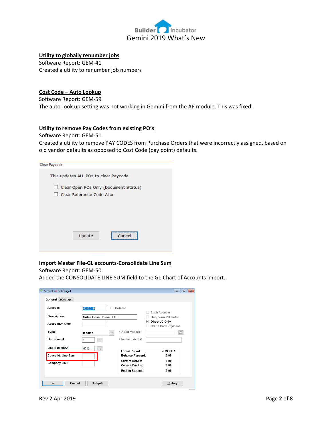

## **Utility to globally renumber jobs**

Software Report: GEM-41 Created a utility to renumber job numbers

## **Cost Code – Auto Lookup**

Software Report: GEM-59 The auto-look up setting was not working in Gemini from the AP module. This was fixed.

## **Utility to remove Pay Codes from existing PO's**

Software Report: GEM-51

Created a utility to remove PAY CODES from Purchase Orders that were incorrectly assigned, based on old vendor defaults as opposed to Cost Code (pay point) defaults.

| Clear Paycode                                    |
|--------------------------------------------------|
| This updates ALL POs to clear Paycode            |
| Clear Open POs Only (Document Status)<br>$\perp$ |
| Clear Reference Code Also                        |
|                                                  |
|                                                  |
|                                                  |
|                                                  |
| Update<br>Cancel                                 |
|                                                  |
|                                                  |

## **Import Master File-GL accounts-Consolidate Line Sum**

## Software Report: GEM-50

Added the CONSOLIDATE LINE SUM field to the GL-Chart of Accounts import.

| Account:                | 4012010                | Deleted                 |                                                   |
|-------------------------|------------------------|-------------------------|---------------------------------------------------|
|                         |                        |                         | Cash Account                                      |
| Description:            | Sales-Base House-Sub1  |                         | Req. View PR Detail                               |
| <b>Accountant XBef:</b> |                        |                         | Direct JC Only<br>☑<br><b>Credit Card Payment</b> |
| Type:                   | Income<br>$\checkmark$ | C/Card Vendor:          | Ğ                                                 |
| <b>Department:</b>      |                        | Checking Acct #:        |                                                   |
| Line Summary:           | 4012<br>$\cdots$       | <b>Latest Period:</b>   | <b>JUN 2014</b>                                   |
| Consolid, Line Sum:     |                        | <b>Balance Forward:</b> | n nn                                              |
| Company Link:           |                        | <b>Current Debits:</b>  | 0.00                                              |
|                         |                        | <b>Current Credits:</b> | n nn                                              |
|                         |                        | Ending Balance:         | 0.00                                              |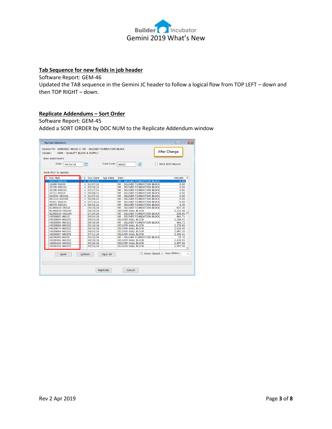

## **Tab Sequence for new fields in job header**

Software Report: GEM-46

Updated the TAB sequence in the Gemini JC header to follow a logical flow from TOP LEFT – down and then TOP RIGHT – down.

## **Replicate Addendums – Sort Order**

Software Report: GEM-45

Added a SORT ORDER by DOC NUM to the Replicate Addendum window

| Replicate Addendum's<br>Source PO: 0690A001-06010-1 NR - DELIVER FOUNDATION BLOCK<br>Vendor: | 5300 - OUALITY BLOCK & SUPPLY |                          |                 |                                                        | After Change      | $\mathbf{x}$<br>-- 0            |
|----------------------------------------------------------------------------------------------|-------------------------------|--------------------------|-----------------|--------------------------------------------------------|-------------------|---------------------------------|
| New Addendum's                                                                               |                               |                          |                 |                                                        |                   |                                 |
| Date:                                                                                        | 04/30/18                      | 鱛                        | Cost Code:      | $\mathbf{Q}$<br>06020                                  | Print With Master |                                 |
| Mark PO's to Update                                                                          |                               |                          |                 |                                                        |                   |                                 |
| X Doc Num                                                                                    | dо                            | S Doc Date               | <b>App Date</b> | <b>Desc</b>                                            |                   | Amount                          |
| 32077-060102                                                                                 |                               | $V$ 01/21/15             |                 | <b>NR - DELIVER FOUNDATION BLOCK</b>                   |                   | 0.00                            |
| 32189-06020                                                                                  |                               | 01/07/15<br>v l          |                 | NR - DELIVER FOUNDATION BLOCK                          |                   | 0.00                            |
| 32228-060101                                                                                 |                               | $V$ 02/20/15             |                 | NR - DELIVER FOUNDATION BLOCK                          |                   | 0.00                            |
| 32246-060101                                                                                 |                               | V   02/27/15             |                 | NR - DELIVER FOUNDATION BLOCK                          |                   | 0.00                            |
| 32311-06010                                                                                  |                               | V   06/08/15             |                 | NR - DELIVER FOUNDATION BLOCK                          |                   | 0.00                            |
| 812030-060101                                                                                |                               | $\mathsf{v}$<br>01/07/15 |                 | NR - DELIVER FOUNDATION BLOCK                          |                   | 0.00                            |
| 812110-060101                                                                                |                               | V   05/08/15             |                 | NR - DELIVER FOUNDATION BLOCK                          |                   | 0.00                            |
| 95051-060101                                                                                 |                               | V   07/13/15             |                 | NR - DELIVER FOUNDATION BLOCK                          |                   | 0.00                            |
| 98075-060101                                                                                 |                               | V   09/03/15             |                 | NR - DELIVER FOUNDATION BLOCK                          |                   | 0.00                            |
| ELO00020-06010                                                                               |                               | 09/10/18                 |                 | NR - DELIVER FOUNDATION BLOCK                          |                   | 637.30                          |
| ELO00020-060202                                                                              |                               | 09/10/18                 |                 | <b>DELIVER WALL BLOCK</b>                              |                   | 2,222.08                        |
| ELO00030-060104                                                                              |                               | 07/24/18                 |                 | NR - DELIVER FOUNDATION BLOCK                          |                   | 839.96                          |
| HIG00005-06010                                                                               |                               | 09/04/18                 |                 | NR - DELIVER FOUNDATION BLOCK                          |                   | 601.71                          |
| HIG00005-060202                                                                              |                               | 09/04/18                 |                 | <b>DELIVER WALL BLOCK</b>                              |                   | 2,358.41                        |
| HIG00006-060101                                                                              |                               | 09/10/18                 |                 | NR - DELIVER FOUNDATION BLOCK                          |                   | 601.71                          |
| HIG00006-060202                                                                              |                               | 09/10/18                 |                 | <b>DELIVER WALL BLOCK</b>                              |                   | 2,378.85                        |
| HIG00074-060202<br>HIG00084-060202                                                           |                               | 06/25/18                 |                 | <b>DELIVER WALL BLOCK</b><br><b>DELIVER WALL BLOCK</b> |                   | 2,520.99<br>2,987.26            |
| HIG00097-060202                                                                              |                               | 09/05/18<br>07/31/18     |                 | <b>DELIVER WALL BLOCK</b>                              |                   | 2,358.41                        |
| HIG00105-06020                                                                               |                               | 06/26/18                 |                 | NR - DELIVER FOUNDATION BLOCK                          |                   | 21.76                           |
| HIG00106-060202                                                                              |                               | 08/20/18                 |                 | <b>DELIVER WALL BLOCK</b>                              |                   | 2,520.99                        |
| HIG00118-060202                                                                              |                               | 06/26/18                 |                 | <b>DELIVER WALL BLOCK</b>                              |                   | 2.997.96                        |
| HIG00126-060202                                                                              |                               | 09/05/18                 |                 | <b>DELIVER WALL BLOCK</b>                              |                   | 2,997.96                        |
|                                                                                              |                               |                          |                 |                                                        |                   |                                 |
|                                                                                              | Mark                          | UnMark                   | Clear All       | Show Closed /                                          |                   | <b>Jays Within:</b><br>$\Omega$ |
|                                                                                              |                               |                          |                 |                                                        |                   |                                 |
|                                                                                              |                               |                          | Replicate       | Cancel                                                 |                   |                                 |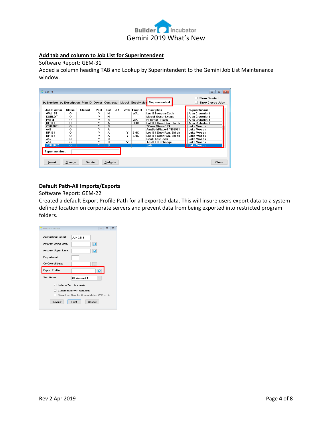

## **Add tab and column to Job List for Superintendent**

Software Report: GEM-31

Added a column heading TAB and Lookup by Superintendent to the Gemini Job List Maintenance window.

| by Number by Description Plan ID Owner Contractor Model Subdivision |                |        |      |      |     |     |            | Superintendent           | <b>Show Closed Jobs</b> |
|---------------------------------------------------------------------|----------------|--------|------|------|-----|-----|------------|--------------------------|-------------------------|
| Job Number                                                          | <b>Status</b>  | Closed | Post | List | COL | Web | Project    | Description              | Superintendent          |
| <b>WAI 105</b>                                                      | Ω              |        | Y    | H    |     |     | <b>WAL</b> | Lot 105-Aspen-Cook       | Alan Crutchfield        |
| <b>SUBLOT</b>                                                       | $\Omega$       |        | Y    | н    |     |     |            | Model-Owner Lname        | Alan Crutchfield        |
| PALM                                                                | $\Omega$       |        | Y    | R    |     |     | WAL        | <b>Hillcrest - Smith</b> | Alan Crutchfield        |
| DB103                                                               | 0              |        | Y    | А    |     |     | <b>SHC</b> | Lot 103 Deer Run, Shiloh | Alan Crutchfield        |
| Z0000001                                                            | O              |        | Y    | B    |     |     |            | <b>ZCook Steve-123</b>   | Jake Woods              |
| A46                                                                 | o              |        | Y    | А    |     |     |            | AnaBethPlace-1 *999991   | Jake Woods              |
| <b>DR101</b>                                                        | $\Omega$       |        | Y    | A    |     | Y   | <b>SHC</b> | Lot 101 Deer Run, Shiloh | Jake Woods              |
| DR102                                                               | O              |        | Y    | А    |     | Y   | SHC        | Lot 102 Deer Run, Shiloh | Jake Woods              |
| A55                                                                 | O              |        | Y    | R    |     |     |            | <b>Cook Test-Exch</b>    | Jake Woods              |
| A56                                                                 | $\Omega$       |        | Y    | в    |     | Y   |            | <b>Test BH Exchange</b>  | Jake Woods              |
| <b>Z0000002</b>                                                     | $\overline{O}$ |        |      | в    |     |     |            | ZAli                     | <b>Jake Woods</b>       |
| Superintendent:                                                     |                |        |      |      |     |     |            |                          |                         |
|                                                                     |                |        |      |      |     |     |            |                          |                         |

## **Default Path-All Imports/Exports**

Software Report: GEM-22

Created a default Export Profile Path for all exported data. This will insure users export data to a system defined location on corporate servers and prevent data from being exported into restricted program folders.

| $\Sigma$<br>$\Box$<br><b>Print Trial Balance</b> |
|--------------------------------------------------|
| <b>Accounting Period:</b><br><b>JUN 2014</b>     |
| Account Lower Limit:<br>ۄ                        |
| <b>Account Upper Limit:</b><br>۾                 |
| <b>Department:</b>                               |
| Co Consolidate:                                  |
| <b>Export Profile:</b><br>ă                      |
|                                                  |
| Sort Order:<br>GL Account #<br>$\checkmark$      |
| <b>Include Zero Accounts</b><br>⋈                |
| <b>Consolidate WIP Accounts</b>                  |
| Show Line Sum for Consolidated WIP accts         |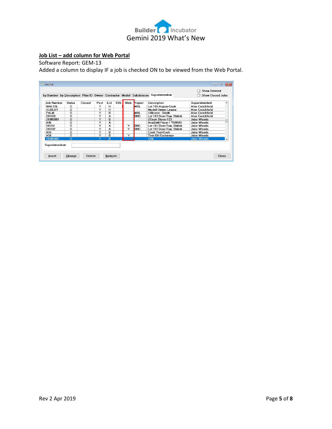

## **Job List – add column for Web Portal**

Software Report: GEM-13

Added a column to display IF a job is checked ON to be viewed from the Web Portal.

| Joh Number<br><b>WAI 105</b><br><b>SUBLOT</b> | <b>Status</b><br>0 | Closed | Post | List | COL | Web | Project      | Description              | Superintendent    |                          |
|-----------------------------------------------|--------------------|--------|------|------|-----|-----|--------------|--------------------------|-------------------|--------------------------|
|                                               |                    |        |      |      |     |     |              |                          |                   |                          |
|                                               |                    |        | Y    | н    |     |     | I VAL        | Lot 105-Aspen-Cook       | Alan Crutchfield  |                          |
|                                               | n                  |        | Y    | н    |     |     |              | Model-Owner Lname        | Alan Crutchfield  |                          |
| PALM                                          | $\Omega$           |        | Y    | в    |     |     | <b>I</b> WAL | <b>Hillcrest - Smith</b> | Alan Crutchfield  |                          |
| <b>DR103</b>                                  | $\Omega$           |        | Y    | А    |     |     | <b>SHC</b>   | Lot 103 Deer Run, Shiloh | Alan Crutchfield  |                          |
| Z0000001                                      | $\Omega$           |        | Y    | B    |     |     |              | <b>ZCook Steve-123</b>   | <b>Jake Woods</b> |                          |
| A46                                           | 0                  |        | Y    | A    |     |     |              | AnaBethPlace-1 *999991   | Jake Woods        |                          |
| DR101                                         | 0                  |        | Y    | A    |     | Ÿ   | <b>SHC</b>   | Lot 101 Deer Run, Shiloh | Jake Woods        |                          |
| <b>DR102</b>                                  | $\Omega$           |        | Y    | А    |     | Ÿ   | <b>SHC</b>   | Lot 102 Deer Run, Shiloh | <b>Jake Woods</b> |                          |
| A55                                           | $\Omega$           |        | Y    | R    |     |     |              | <b>Cook Test-Exch</b>    | <b>Jake Woods</b> |                          |
| A56                                           | $\Omega$           |        | Y    | R    |     | Y   |              | Test BH Exchange         | <b>Jake Woods</b> |                          |
| 70000002                                      | $\Omega$           |        | Υ    | B    |     |     |              | ZAli:                    | <b>Jake Woods</b> | $\overline{\phantom{a}}$ |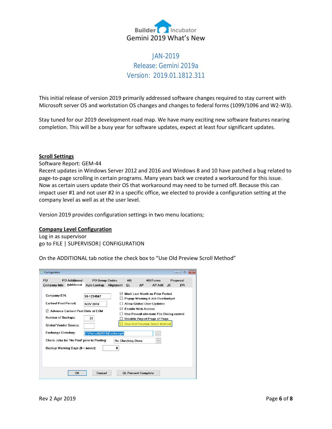

# JAN-2019 Release: Gemini 2019a Version: 2019.01.1812.311

This initial release of version 2019 primarily addressed software changes required to stay current with Microsoft server OS and workstation OS changes and changes to federal forms (1099/1096 and W2-W3).

Stay tuned for our 2019 development road map. We have many exciting new software features nearing completion. This will be a busy year for software updates, expect at least four significant updates.

### **Scroll Settings**

Software Report: GEM-44

Recent updates in Windows Server 2012 and 2016 and Windows 8 and 10 have patched a bug related to page-to-page scrolling in certain programs. Many years back we created a workaround for this issue. Now as certain users update their OS that workaround may need to be turned off. Because this can impact user #1 and not user #2 in a specific office, we elected to provide a configuration setting at the company level as well as at the user level.

Version 2019 provides configuration settings in two menu locations;

## **Company Level Configuration**

Log in as supervisor go to FILE | SUPERVISOR| CONFIGURATION

On the ADDITIONAL tab notice the check box to "Use Old Preview Scroll Method"

| Configuration                                                           |                                                                                |                                      |           |                  |                            |                                                                                                                                                                                                              |                | <u>al 9</u><br>$\mathbf{x}$ |
|-------------------------------------------------------------------------|--------------------------------------------------------------------------------|--------------------------------------|-----------|------------------|----------------------------|--------------------------------------------------------------------------------------------------------------------------------------------------------------------------------------------------------------|----------------|-----------------------------|
| PO<br>Company Info                                                      | PO Additional<br><b>Additional</b>                                             | <b>PO Group Codes</b><br>Auto Lookup | Alignment | AR.<br>GL        | AP                         | <b>AR Forms</b><br>AP Adt                                                                                                                                                                                    | Proposal<br>JC | <b>PR</b>                   |
| Company EIN:<br><b>Earliest Post Period:</b><br>☑<br>Number of Backups: | <b>Advance Earliest Post Date at EOM</b><br><b>Global Vendor Source:</b>       | 59-1234567<br><b>NOV 2018</b><br>20  |           |                  | <b>Frable Web Access</b>   | Mark Last Month as Prior Period<br>Popup Warning if Job Overbudget<br>Allow Global User Updates<br>Use Prosoft alternate File Dialog control<br>Disable Report Page of Page<br>Use Old Preview Scroll Method |                |                             |
| <b>Exchange Directory:</b>                                              | Check Jobs for 'No Post' prior to Posting:<br>Backup Warning Days (0 = never): | C:\Prosoft\2019\Exchange\            | 0         | No Checking Done |                            | <br>$\checkmark$                                                                                                                                                                                             |                |                             |
|                                                                         | OK                                                                             | Cancel                               |           |                  | <b>GL Percent Complete</b> |                                                                                                                                                                                                              |                |                             |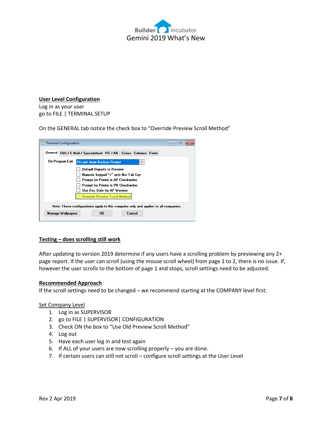

#### **User Level Configuration**

Log in as your user go to FILE | TERMINAL SETUP

On the GENERAL tab notice the check box to "Override Preview Scroll Method"

| <b>Terminal Configuration</b>                                                                                             | $\Box$ |
|---------------------------------------------------------------------------------------------------------------------------|--------|
| General FAX / E-Mail / Spreadsheet PO / AR Colors Columns Fonts                                                           |        |
| On Program Exit:<br>Do not show Backup Prompt<br>$\checkmark$                                                             |        |
| Default Reports to Preview<br>Numeric keypad "+" acts like Tab Key<br>Prompt for Printer in AP Checkwriter                |        |
| Prompt for Printer in PR Checkwriter<br>Use Doc Date for AP Waviers<br><b>Override Preview Scroll Method</b>              |        |
| Note: These configurations apply to this computer only and applies to all companies.<br>Cancel<br>Manage Wallpapers<br>0K |        |

### **Testing – does scrolling still work**

After updating to version 2019 determine if any users have a scrolling problem by previewing any 2+ page report. If the user can scroll (using the mouse scroll wheel) from page 1 to 2, there is no issue. If, however the user scrolls to the bottom of page 1 and stops, scroll settings need to be adjusted.

### **Recommended Approach**

If the scroll settings need to be changed – we recommend starting at the COMPANY level first.

### Set Company Level

- 1. Log in as SUPERVISOR
- 2. go to FILE | SUPERVISOR| CONFIGURATION
- 3. Check ON the box to "Use Old Preview Scroll Method"
- 4. Log out
- 5. Have each user log in and test again
- 6. If ALL of your users are now scrolling properly you are done.
- 7. If certain users can still not scroll configure scroll settings at the User Level